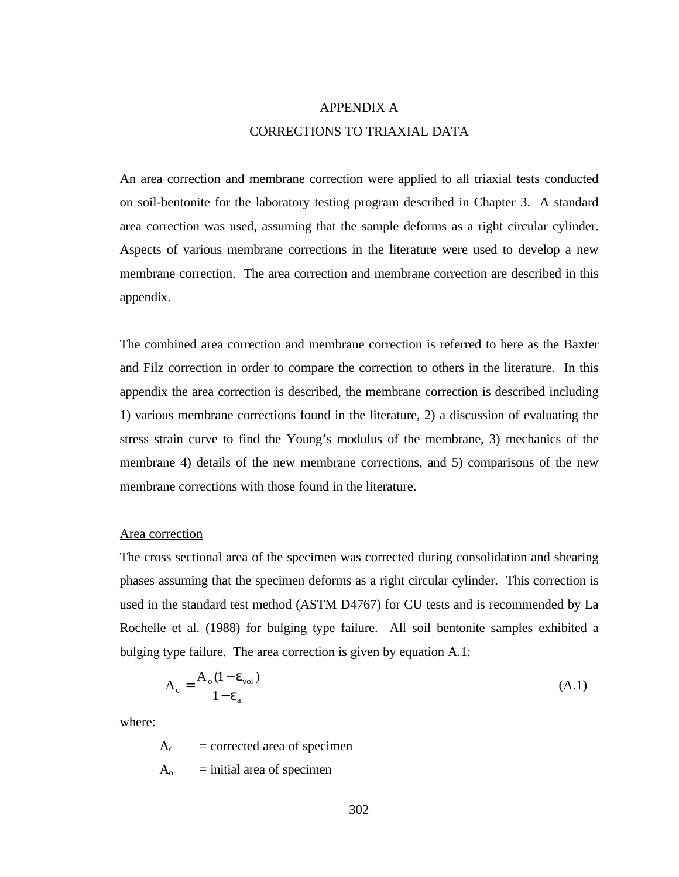# APPENDIX A CORRECTIONS TO TRIAXIAL DATA

An area correction and membrane correction were applied to all triaxial tests conducted on soil-bentonite for the laboratory testing program described in Chapter 3. A standard area correction was used, assuming that the sample deforms as a right circular cylinder. Aspects of various membrane corrections in the literature were used to develop a new membrane correction. The area correction and membrane correction are described in this appendix.

The combined area correction and membrane correction is referred to here as the Baxter and Filz correction in order to compare the correction to others in the literature. In this appendix the area correction is described, the membrane correction is described including 1) various membrane corrections found in the literature, 2) a discussion of evaluating the stress strain curve to find the Young's modulus of the membrane, 3) mechanics of the membrane 4) details of the new membrane corrections, and 5) comparisons of the new membrane corrections with those found in the literature.

### Area correction

The cross sectional area of the specimen was corrected during consolidation and shearing phases assuming that the specimen deforms as a right circular cylinder. This correction is used in the standard test method (ASTM D4767) for CU tests and is recommended by La Rochelle et al. (1988) for bulging type failure. All soil bentonite samples exhibited a bulging type failure. The area correction is given by equation A.1:

$$
A_c = \frac{A_o (1 - \epsilon_{vol})}{1 - \epsilon_a} \tag{A.1}
$$

where:

 $A_c$  = corrected area of specimen

 $A_0$  = initial area of specimen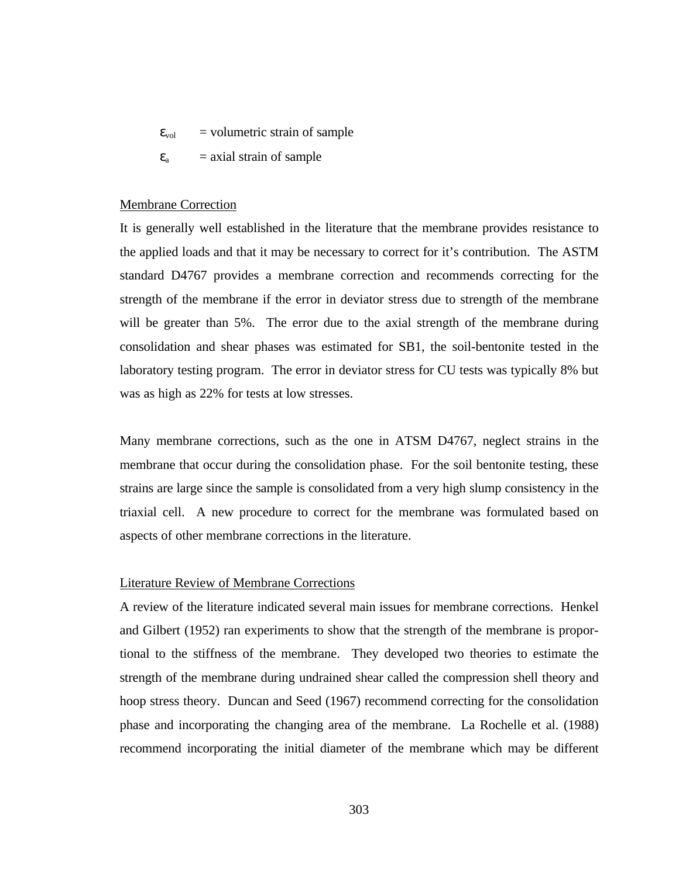$\epsilon_{\text{vol}}$  = volumetric strain of sample

 $\varepsilon_a$  = axial strain of sample

#### Membrane Correction

It is generally well established in the literature that the membrane provides resistance to the applied loads and that it may be necessary to correct for it's contribution. The ASTM standard D4767 provides a membrane correction and recommends correcting for the strength of the membrane if the error in deviator stress due to strength of the membrane will be greater than 5%. The error due to the axial strength of the membrane during consolidation and shear phases was estimated for SB1, the soil-bentonite tested in the laboratory testing program. The error in deviator stress for CU tests was typically 8% but was as high as 22% for tests at low stresses.

Many membrane corrections, such as the one in ATSM D4767, neglect strains in the membrane that occur during the consolidation phase. For the soil bentonite testing, these strains are large since the sample is consolidated from a very high slump consistency in the triaxial cell. A new procedure to correct for the membrane was formulated based on aspects of other membrane corrections in the literature.

#### Literature Review of Membrane Corrections

A review of the literature indicated several main issues for membrane corrections. Henkel and Gilbert (1952) ran experiments to show that the strength of the membrane is proportional to the stiffness of the membrane. They developed two theories to estimate the strength of the membrane during undrained shear called the compression shell theory and hoop stress theory. Duncan and Seed (1967) recommend correcting for the consolidation phase and incorporating the changing area of the membrane. La Rochelle et al. (1988) recommend incorporating the initial diameter of the membrane which may be different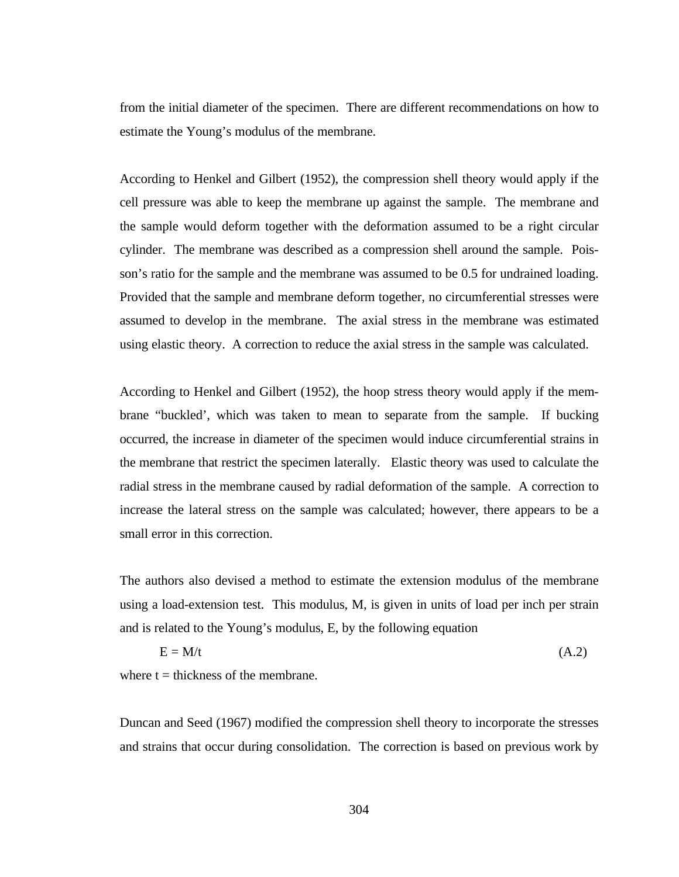from the initial diameter of the specimen. There are different recommendations on how to estimate the Young's modulus of the membrane.

According to Henkel and Gilbert (1952), the compression shell theory would apply if the cell pressure was able to keep the membrane up against the sample. The membrane and the sample would deform together with the deformation assumed to be a right circular cylinder. The membrane was described as a compression shell around the sample. Poisson's ratio for the sample and the membrane was assumed to be 0.5 for undrained loading. Provided that the sample and membrane deform together, no circumferential stresses were assumed to develop in the membrane. The axial stress in the membrane was estimated using elastic theory. A correction to reduce the axial stress in the sample was calculated.

According to Henkel and Gilbert (1952), the hoop stress theory would apply if the membrane "buckled', which was taken to mean to separate from the sample. If bucking occurred, the increase in diameter of the specimen would induce circumferential strains in the membrane that restrict the specimen laterally. Elastic theory was used to calculate the radial stress in the membrane caused by radial deformation of the sample. A correction to increase the lateral stress on the sample was calculated; however, there appears to be a small error in this correction.

The authors also devised a method to estimate the extension modulus of the membrane using a load-extension test. This modulus, M, is given in units of load per inch per strain and is related to the Young's modulus, E, by the following equation

$$
E = M/t
$$
 (A.2)

where  $t =$  thickness of the membrane.

Duncan and Seed (1967) modified the compression shell theory to incorporate the stresses and strains that occur during consolidation. The correction is based on previous work by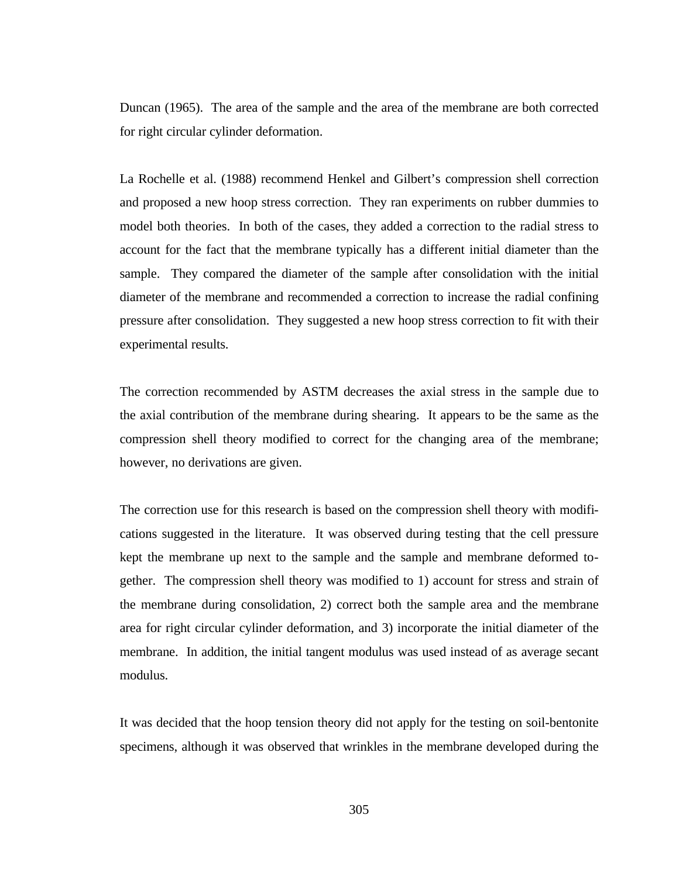Duncan (1965). The area of the sample and the area of the membrane are both corrected for right circular cylinder deformation.

La Rochelle et al. (1988) recommend Henkel and Gilbert's compression shell correction and proposed a new hoop stress correction. They ran experiments on rubber dummies to model both theories. In both of the cases, they added a correction to the radial stress to account for the fact that the membrane typically has a different initial diameter than the sample. They compared the diameter of the sample after consolidation with the initial diameter of the membrane and recommended a correction to increase the radial confining pressure after consolidation. They suggested a new hoop stress correction to fit with their experimental results.

The correction recommended by ASTM decreases the axial stress in the sample due to the axial contribution of the membrane during shearing. It appears to be the same as the compression shell theory modified to correct for the changing area of the membrane; however, no derivations are given.

The correction use for this research is based on the compression shell theory with modifications suggested in the literature. It was observed during testing that the cell pressure kept the membrane up next to the sample and the sample and membrane deformed together. The compression shell theory was modified to 1) account for stress and strain of the membrane during consolidation, 2) correct both the sample area and the membrane area for right circular cylinder deformation, and 3) incorporate the initial diameter of the membrane. In addition, the initial tangent modulus was used instead of as average secant modulus.

It was decided that the hoop tension theory did not apply for the testing on soil-bentonite specimens, although it was observed that wrinkles in the membrane developed during the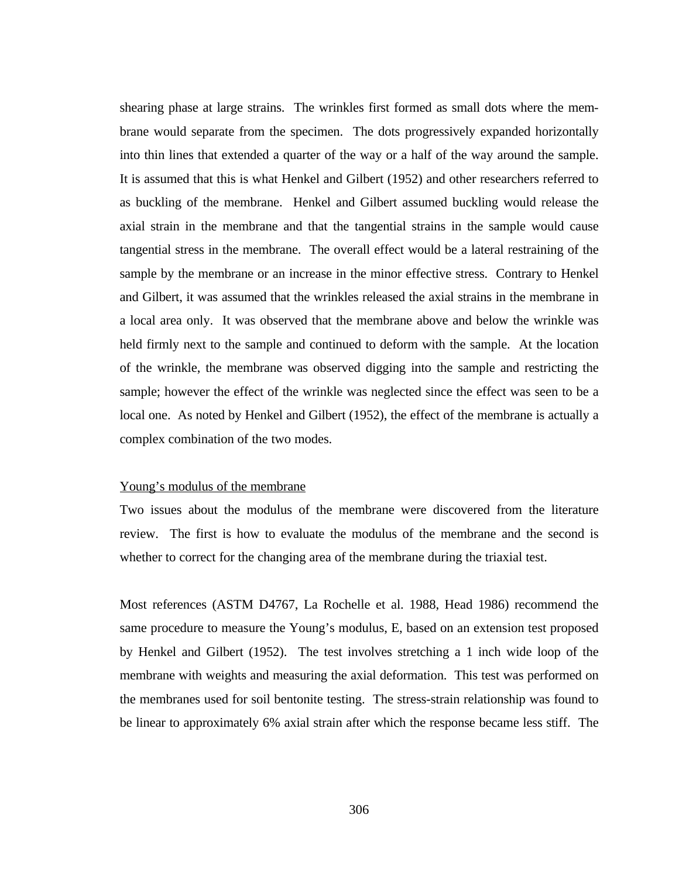shearing phase at large strains. The wrinkles first formed as small dots where the membrane would separate from the specimen. The dots progressively expanded horizontally into thin lines that extended a quarter of the way or a half of the way around the sample. It is assumed that this is what Henkel and Gilbert (1952) and other researchers referred to as buckling of the membrane. Henkel and Gilbert assumed buckling would release the axial strain in the membrane and that the tangential strains in the sample would cause tangential stress in the membrane. The overall effect would be a lateral restraining of the sample by the membrane or an increase in the minor effective stress. Contrary to Henkel and Gilbert, it was assumed that the wrinkles released the axial strains in the membrane in a local area only. It was observed that the membrane above and below the wrinkle was held firmly next to the sample and continued to deform with the sample. At the location of the wrinkle, the membrane was observed digging into the sample and restricting the sample; however the effect of the wrinkle was neglected since the effect was seen to be a local one. As noted by Henkel and Gilbert (1952), the effect of the membrane is actually a complex combination of the two modes.

## Young's modulus of the membrane

Two issues about the modulus of the membrane were discovered from the literature review. The first is how to evaluate the modulus of the membrane and the second is whether to correct for the changing area of the membrane during the triaxial test.

Most references (ASTM D4767, La Rochelle et al. 1988, Head 1986) recommend the same procedure to measure the Young's modulus, E, based on an extension test proposed by Henkel and Gilbert (1952). The test involves stretching a 1 inch wide loop of the membrane with weights and measuring the axial deformation. This test was performed on the membranes used for soil bentonite testing. The stress-strain relationship was found to be linear to approximately 6% axial strain after which the response became less stiff. The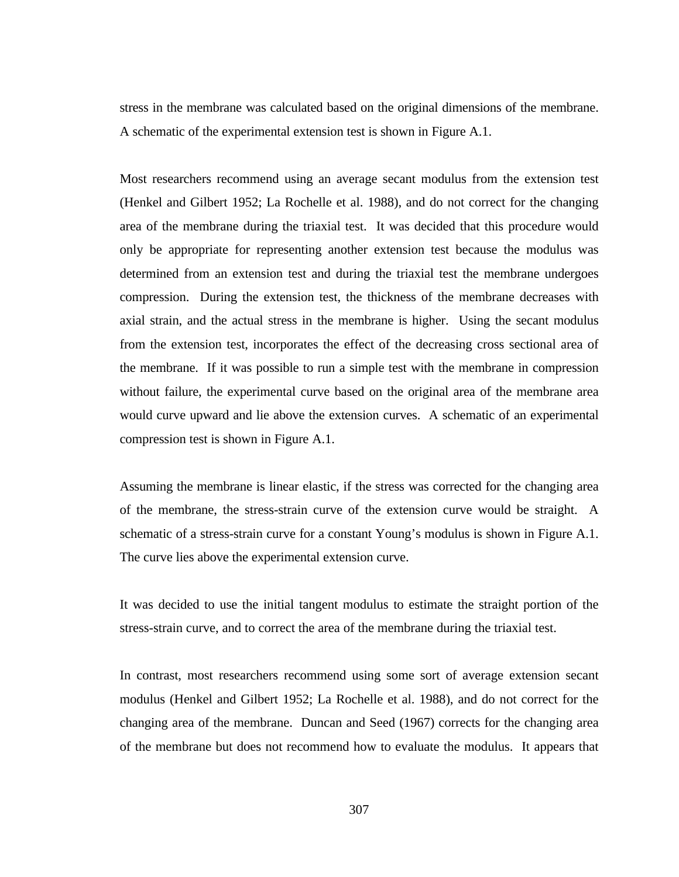stress in the membrane was calculated based on the original dimensions of the membrane. A schematic of the experimental extension test is shown in Figure A.1.

Most researchers recommend using an average secant modulus from the extension test (Henkel and Gilbert 1952; La Rochelle et al. 1988), and do not correct for the changing area of the membrane during the triaxial test. It was decided that this procedure would only be appropriate for representing another extension test because the modulus was determined from an extension test and during the triaxial test the membrane undergoes compression. During the extension test, the thickness of the membrane decreases with axial strain, and the actual stress in the membrane is higher. Using the secant modulus from the extension test, incorporates the effect of the decreasing cross sectional area of the membrane. If it was possible to run a simple test with the membrane in compression without failure, the experimental curve based on the original area of the membrane area would curve upward and lie above the extension curves. A schematic of an experimental compression test is shown in Figure A.1.

Assuming the membrane is linear elastic, if the stress was corrected for the changing area of the membrane, the stress-strain curve of the extension curve would be straight. A schematic of a stress-strain curve for a constant Young's modulus is shown in Figure A.1. The curve lies above the experimental extension curve.

It was decided to use the initial tangent modulus to estimate the straight portion of the stress-strain curve, and to correct the area of the membrane during the triaxial test.

In contrast, most researchers recommend using some sort of average extension secant modulus (Henkel and Gilbert 1952; La Rochelle et al. 1988), and do not correct for the changing area of the membrane. Duncan and Seed (1967) corrects for the changing area of the membrane but does not recommend how to evaluate the modulus. It appears that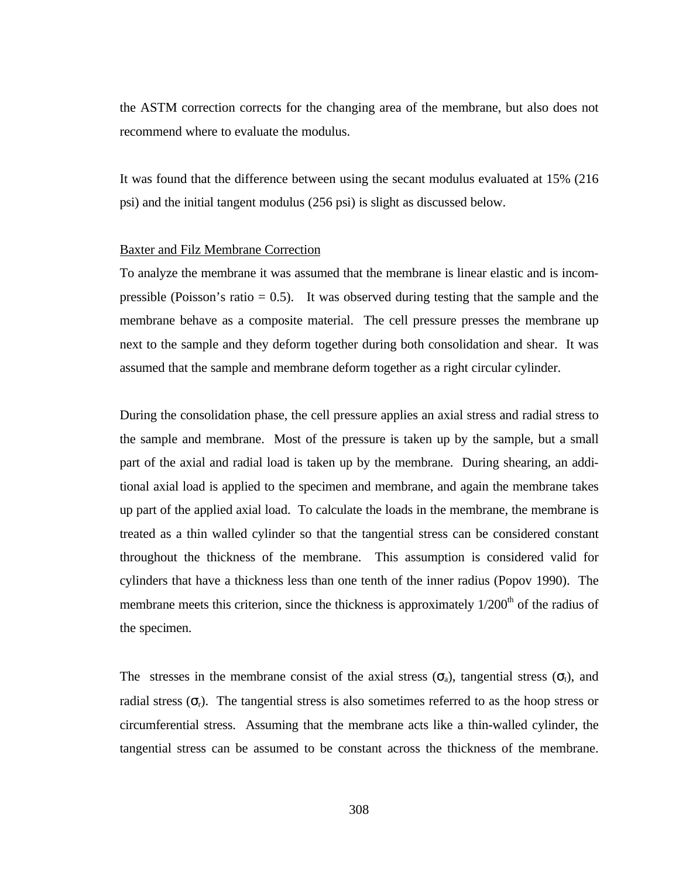the ASTM correction corrects for the changing area of the membrane, but also does not recommend where to evaluate the modulus.

It was found that the difference between using the secant modulus evaluated at 15% (216 psi) and the initial tangent modulus (256 psi) is slight as discussed below.

## Baxter and Filz Membrane Correction

To analyze the membrane it was assumed that the membrane is linear elastic and is incompressible (Poisson's ratio  $= 0.5$ ). It was observed during testing that the sample and the membrane behave as a composite material. The cell pressure presses the membrane up next to the sample and they deform together during both consolidation and shear. It was assumed that the sample and membrane deform together as a right circular cylinder.

During the consolidation phase, the cell pressure applies an axial stress and radial stress to the sample and membrane. Most of the pressure is taken up by the sample, but a small part of the axial and radial load is taken up by the membrane. During shearing, an additional axial load is applied to the specimen and membrane, and again the membrane takes up part of the applied axial load. To calculate the loads in the membrane, the membrane is treated as a thin walled cylinder so that the tangential stress can be considered constant throughout the thickness of the membrane. This assumption is considered valid for cylinders that have a thickness less than one tenth of the inner radius (Popov 1990). The membrane meets this criterion, since the thickness is approximately  $1/200<sup>th</sup>$  of the radius of the specimen.

The stresses in the membrane consist of the axial stress ( $\sigma_a$ ), tangential stress ( $\sigma_t$ ), and radial stress ( $\sigma_r$ ). The tangential stress is also sometimes referred to as the hoop stress or circumferential stress. Assuming that the membrane acts like a thin-walled cylinder, the tangential stress can be assumed to be constant across the thickness of the membrane.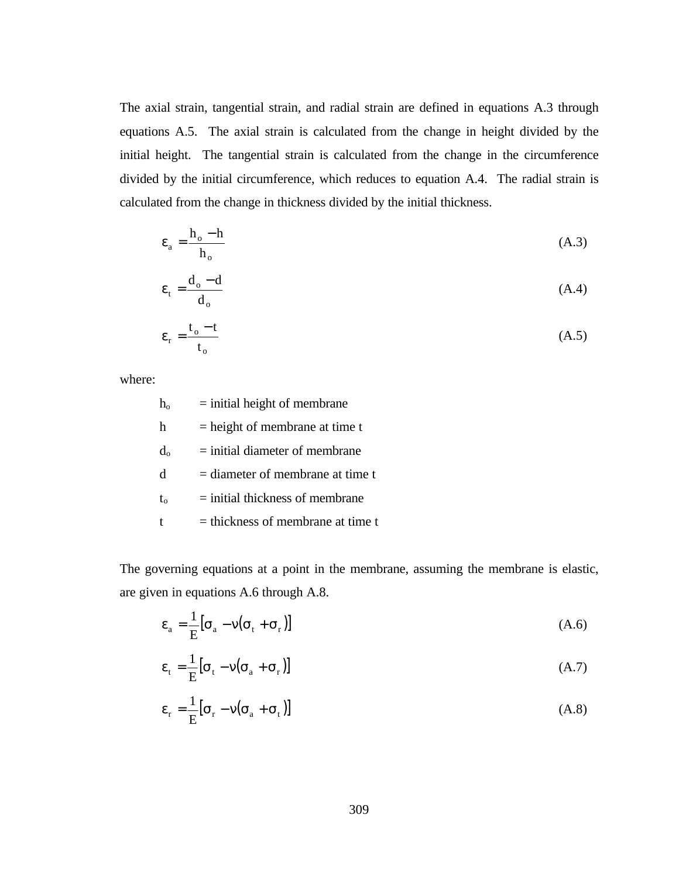The axial strain, tangential strain, and radial strain are defined in equations A.3 through equations A.5. The axial strain is calculated from the change in height divided by the initial height. The tangential strain is calculated from the change in the circumference divided by the initial circumference, which reduces to equation A.4. The radial strain is calculated from the change in thickness divided by the initial thickness.

$$
\varepsilon_{\rm a} = \frac{\mathbf{h}_{\rm o} - \mathbf{h}}{\mathbf{h}_{\rm o}} \tag{A.3}
$$

$$
\varepsilon_{t} = \frac{d_{o} - d}{d_{o}} \tag{A.4}
$$

$$
\varepsilon_{\rm r} = \frac{\rm t_{\rm o} - t}{\rm t_{\rm o}} \tag{A.5}
$$

where:

| $h_{o}$      | $=$ initial height of membrane      |
|--------------|-------------------------------------|
| h            | $=$ height of membrane at time t    |
| $d_{o}$      | $=$ initial diameter of membrane    |
| <sub>d</sub> | $=$ diameter of membrane at time t  |
| $t_{o}$      | $=$ initial thickness of membrane   |
|              | $=$ thickness of membrane at time t |

The governing equations at a point in the membrane, assuming the membrane is elastic, are given in equations A.6 through A.8.

$$
\varepsilon_{a} = \frac{1}{E} \left[ \sigma_{a} - v (\sigma_{t} + \sigma_{r}) \right]
$$
\n(A.6)

$$
\varepsilon_{t} = \frac{1}{E} \left[ \sigma_{t} - v (\sigma_{a} + \sigma_{r}) \right]
$$
\n(A.7)

$$
\varepsilon_{\rm r} = \frac{1}{\rm E} [\sigma_{\rm r} - v(\sigma_{\rm a} + \sigma_{\rm t})] \tag{A.8}
$$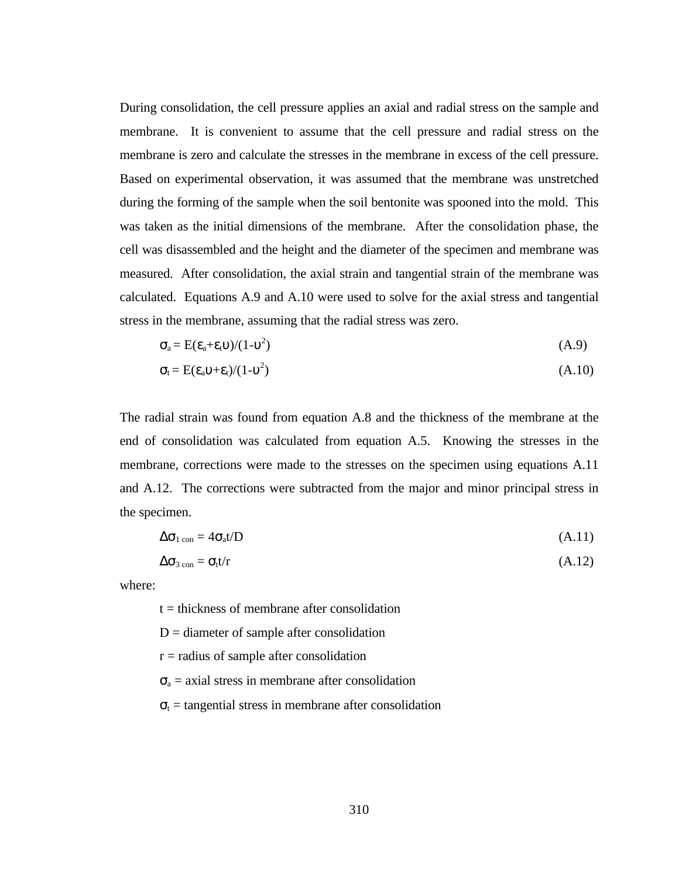During consolidation, the cell pressure applies an axial and radial stress on the sample and membrane. It is convenient to assume that the cell pressure and radial stress on the membrane is zero and calculate the stresses in the membrane in excess of the cell pressure. Based on experimental observation, it was assumed that the membrane was unstretched during the forming of the sample when the soil bentonite was spooned into the mold. This was taken as the initial dimensions of the membrane. After the consolidation phase, the cell was disassembled and the height and the diameter of the specimen and membrane was measured. After consolidation, the axial strain and tangential strain of the membrane was calculated. Equations A.9 and A.10 were used to solve for the axial stress and tangential stress in the membrane, assuming that the radial stress was zero.

$$
\sigma_a = E(\epsilon_a + \epsilon_t \upsilon)/(1 - \upsilon^2) \tag{A.9}
$$

$$
\sigma_t = E(\varepsilon_a v + \varepsilon_t)/(1 - v^2) \tag{A.10}
$$

The radial strain was found from equation A.8 and the thickness of the membrane at the end of consolidation was calculated from equation A.5. Knowing the stresses in the membrane, corrections were made to the stresses on the specimen using equations A.11 and A.12. The corrections were subtracted from the major and minor principal stress in the specimen.

$$
\Delta \sigma_{1 \text{ con}} = 4 \sigma_{a} t / D \tag{A.11}
$$

$$
\Delta \sigma_{3\,\text{con}} = \sigma_t t / r \tag{A.12}
$$

where:

 $t =$  thickness of membrane after consolidation

 $D =$  diameter of sample after consolidation

 $r =$  radius of sample after consolidation

 $\sigma_a$  = axial stress in membrane after consolidation

 $\sigma_t$  = tangential stress in membrane after consolidation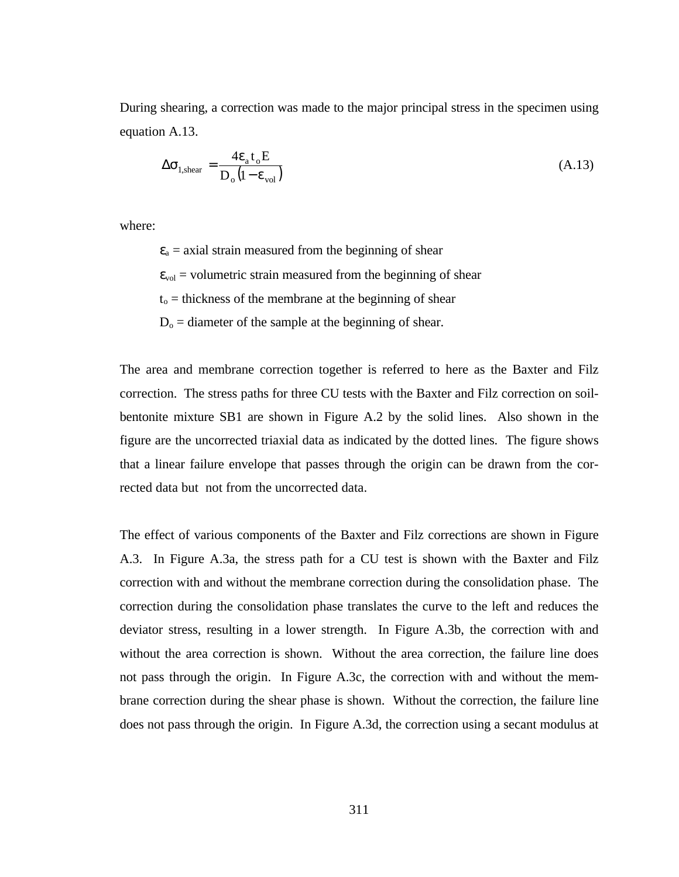During shearing, a correction was made to the major principal stress in the specimen using equation A.13.

$$
\Delta \sigma_{1,\text{shear}} = \frac{4\epsilon_{a} t_{o} E}{D_{o} (1 - \epsilon_{\text{vol}})}
$$
(A.13)

where:

 $\varepsilon_a$  = axial strain measured from the beginning of shear  $\varepsilon_{\text{vol}}$  = volumetric strain measured from the beginning of shear  $t<sub>o</sub>$  = thickness of the membrane at the beginning of shear  $D<sub>o</sub>$  = diameter of the sample at the beginning of shear.

The area and membrane correction together is referred to here as the Baxter and Filz correction. The stress paths for three CU tests with the Baxter and Filz correction on soilbentonite mixture SB1 are shown in Figure A.2 by the solid lines. Also shown in the figure are the uncorrected triaxial data as indicated by the dotted lines. The figure shows that a linear failure envelope that passes through the origin can be drawn from the corrected data but not from the uncorrected data.

The effect of various components of the Baxter and Filz corrections are shown in Figure A.3. In Figure A.3a, the stress path for a CU test is shown with the Baxter and Filz correction with and without the membrane correction during the consolidation phase. The correction during the consolidation phase translates the curve to the left and reduces the deviator stress, resulting in a lower strength. In Figure A.3b, the correction with and without the area correction is shown. Without the area correction, the failure line does not pass through the origin. In Figure A.3c, the correction with and without the membrane correction during the shear phase is shown. Without the correction, the failure line does not pass through the origin. In Figure A.3d, the correction using a secant modulus at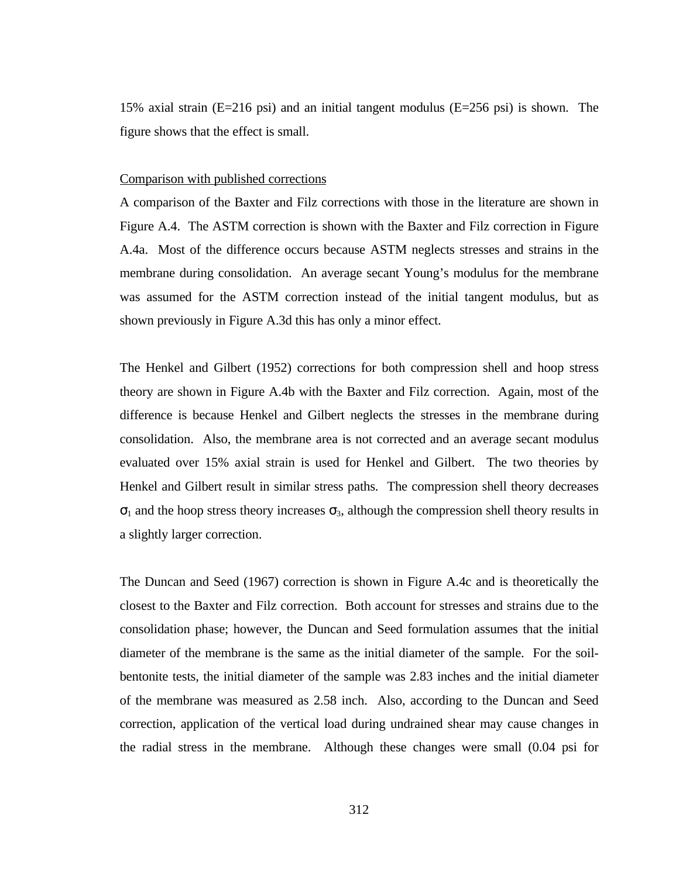15% axial strain (E=216 psi) and an initial tangent modulus (E=256 psi) is shown. The figure shows that the effect is small.

#### Comparison with published corrections

A comparison of the Baxter and Filz corrections with those in the literature are shown in Figure A.4. The ASTM correction is shown with the Baxter and Filz correction in Figure A.4a. Most of the difference occurs because ASTM neglects stresses and strains in the membrane during consolidation. An average secant Young's modulus for the membrane was assumed for the ASTM correction instead of the initial tangent modulus, but as shown previously in Figure A.3d this has only a minor effect.

The Henkel and Gilbert (1952) corrections for both compression shell and hoop stress theory are shown in Figure A.4b with the Baxter and Filz correction. Again, most of the difference is because Henkel and Gilbert neglects the stresses in the membrane during consolidation. Also, the membrane area is not corrected and an average secant modulus evaluated over 15% axial strain is used for Henkel and Gilbert. The two theories by Henkel and Gilbert result in similar stress paths. The compression shell theory decreases  $\sigma_1$  and the hoop stress theory increases  $\sigma_3$ , although the compression shell theory results in a slightly larger correction.

The Duncan and Seed (1967) correction is shown in Figure A.4c and is theoretically the closest to the Baxter and Filz correction. Both account for stresses and strains due to the consolidation phase; however, the Duncan and Seed formulation assumes that the initial diameter of the membrane is the same as the initial diameter of the sample. For the soilbentonite tests, the initial diameter of the sample was 2.83 inches and the initial diameter of the membrane was measured as 2.58 inch. Also, according to the Duncan and Seed correction, application of the vertical load during undrained shear may cause changes in the radial stress in the membrane. Although these changes were small (0.04 psi for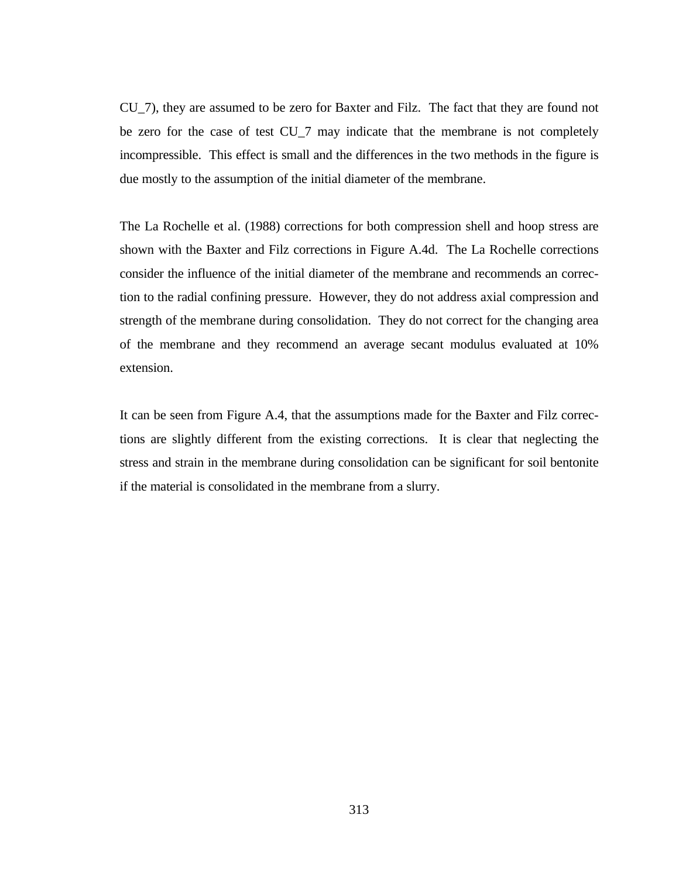CU\_7), they are assumed to be zero for Baxter and Filz. The fact that they are found not be zero for the case of test CU\_7 may indicate that the membrane is not completely incompressible. This effect is small and the differences in the two methods in the figure is due mostly to the assumption of the initial diameter of the membrane.

The La Rochelle et al. (1988) corrections for both compression shell and hoop stress are shown with the Baxter and Filz corrections in Figure A.4d. The La Rochelle corrections consider the influence of the initial diameter of the membrane and recommends an correction to the radial confining pressure. However, they do not address axial compression and strength of the membrane during consolidation. They do not correct for the changing area of the membrane and they recommend an average secant modulus evaluated at 10% extension.

It can be seen from Figure A.4, that the assumptions made for the Baxter and Filz corrections are slightly different from the existing corrections. It is clear that neglecting the stress and strain in the membrane during consolidation can be significant for soil bentonite if the material is consolidated in the membrane from a slurry.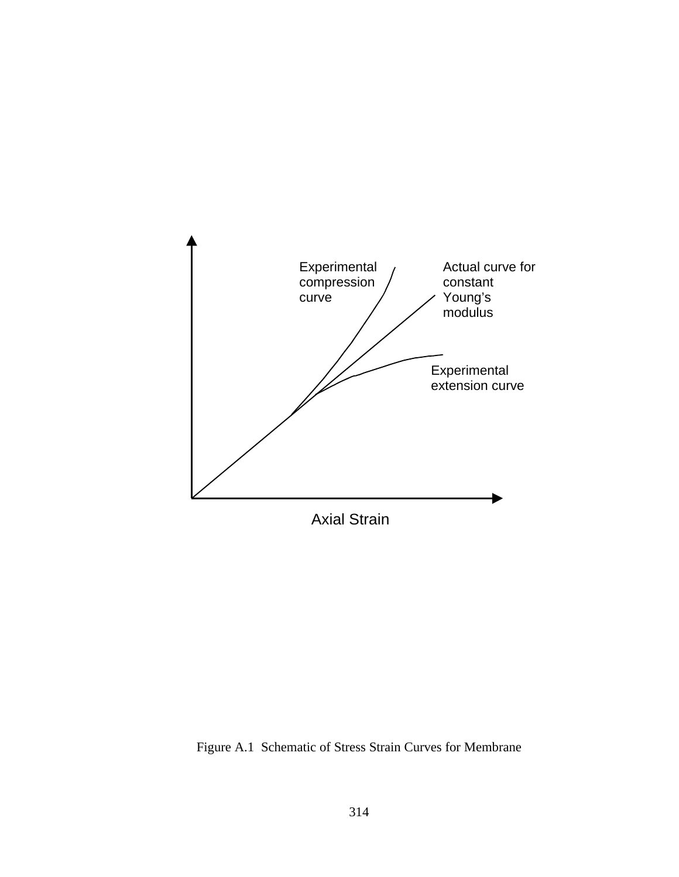

Figure A.1 Schematic of Stress Strain Curves for Membrane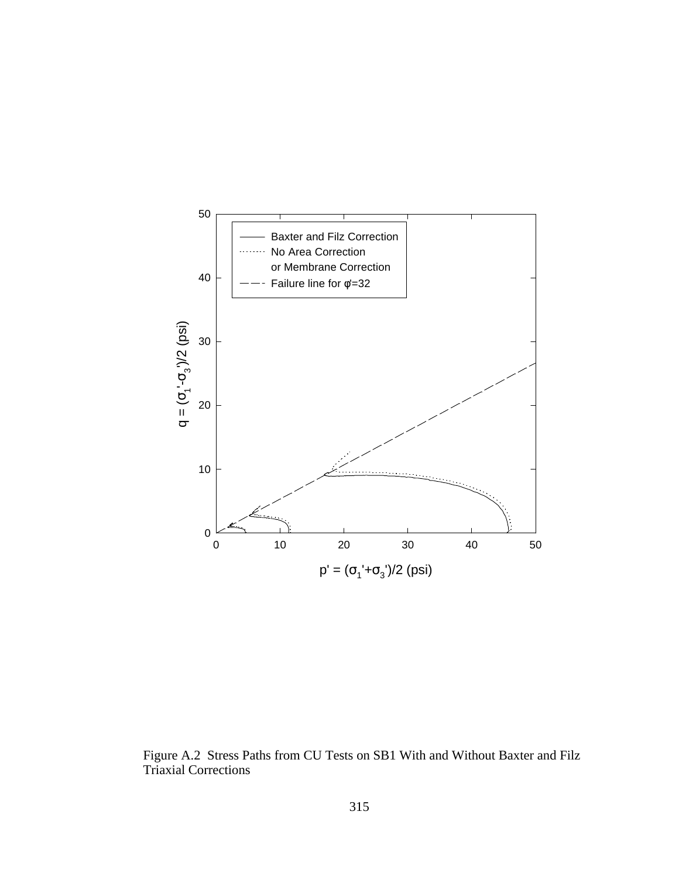

Figure A.2 Stress Paths from CU Tests on SB1 With and Without Baxter and Filz Triaxial Corrections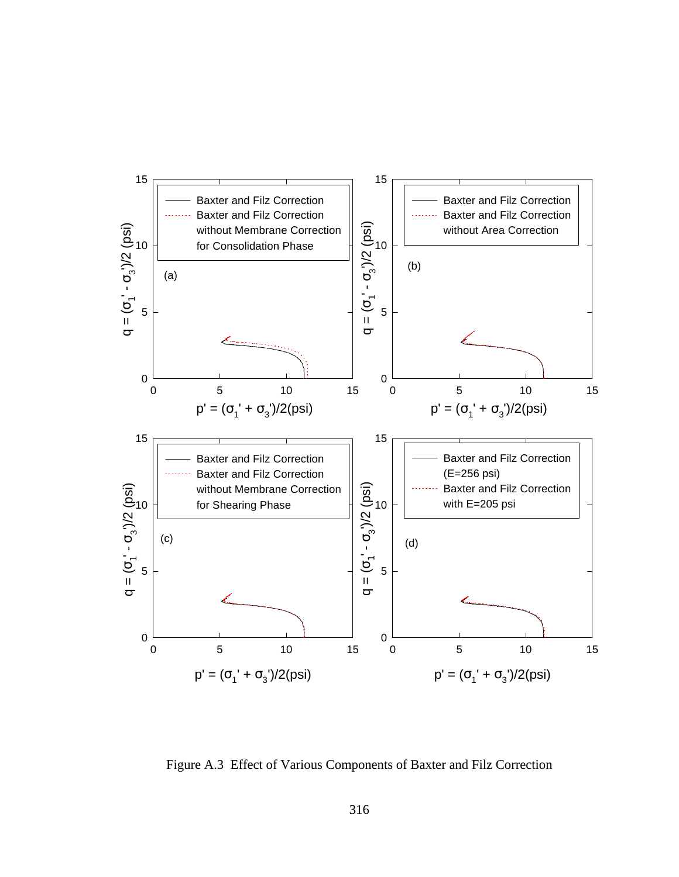

Figure A.3 Effect of Various Components of Baxter and Filz Correction